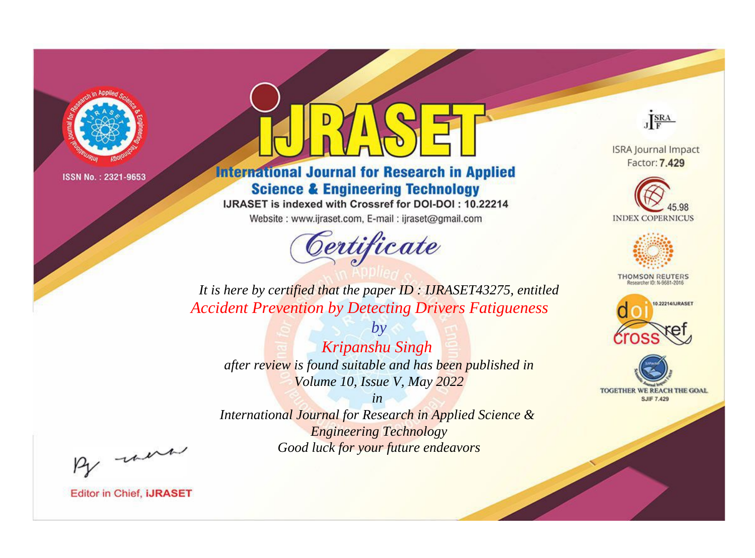

# **International Journal for Research in Applied Science & Engineering Technology**

IJRASET is indexed with Crossref for DOI-DOI: 10.22214

Website: www.ijraset.com, E-mail: ijraset@gmail.com



JERA

**ISRA Journal Impact** Factor: 7.429





**THOMSON REUTERS** 



TOGETHER WE REACH THE GOAL **SJIF 7.429** 

*It is here by certified that the paper ID : IJRASET43275, entitled Accident Prevention by Detecting Drivers Fatigueness*

*by Kripanshu Singh after review is found suitable and has been published in Volume 10, Issue V, May 2022*

*in* 

*International Journal for Research in Applied Science & Engineering Technology Good luck for your future endeavors*

By morn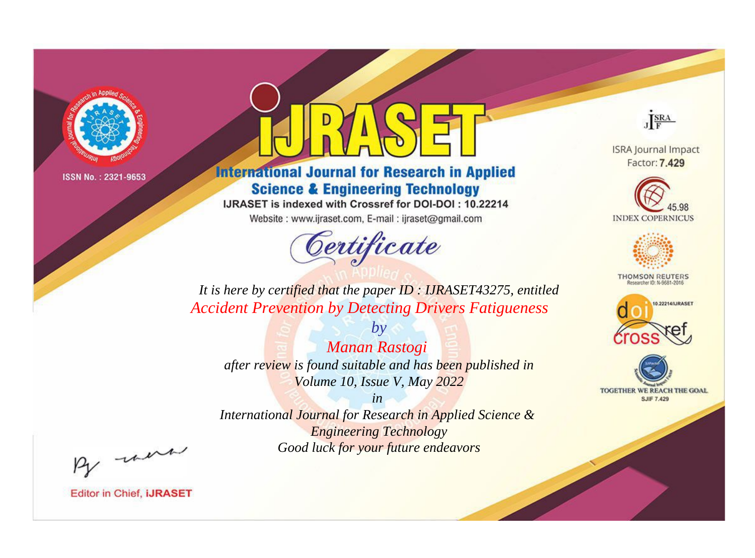

# **International Journal for Research in Applied Science & Engineering Technology**

IJRASET is indexed with Crossref for DOI-DOI: 10.22214

Website: www.ijraset.com, E-mail: ijraset@gmail.com



JERA

**ISRA Journal Impact** Factor: 7.429





**THOMSON REUTERS** 



TOGETHER WE REACH THE GOAL **SJIF 7.429** 

*It is here by certified that the paper ID : IJRASET43275, entitled Accident Prevention by Detecting Drivers Fatigueness*

*Manan Rastogi after review is found suitable and has been published in Volume 10, Issue V, May 2022*

*by*

*in* 

*International Journal for Research in Applied Science & Engineering Technology Good luck for your future endeavors*

By morn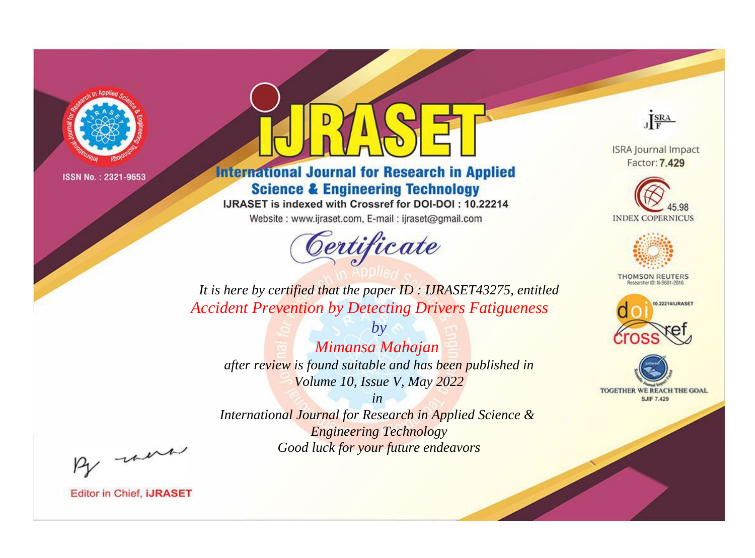

# **International Journal for Research in Applied Science & Engineering Technology**

IJRASET is indexed with Crossref for DOI-DOI: 10.22214

Website: www.ijraset.com, E-mail: ijraset@gmail.com



JERA

**ISRA Journal Impact** Factor: 7.429





**THOMSON REUTERS** 



TOGETHER WE REACH THE GOAL **SJIF 7.429** 

*It is here by certified that the paper ID : IJRASET43275, entitled Accident Prevention by Detecting Drivers Fatigueness*

*Mimansa Mahajan after review is found suitable and has been published in Volume 10, Issue V, May 2022*

*by*

*in* 

*International Journal for Research in Applied Science & Engineering Technology Good luck for your future endeavors*

By morn